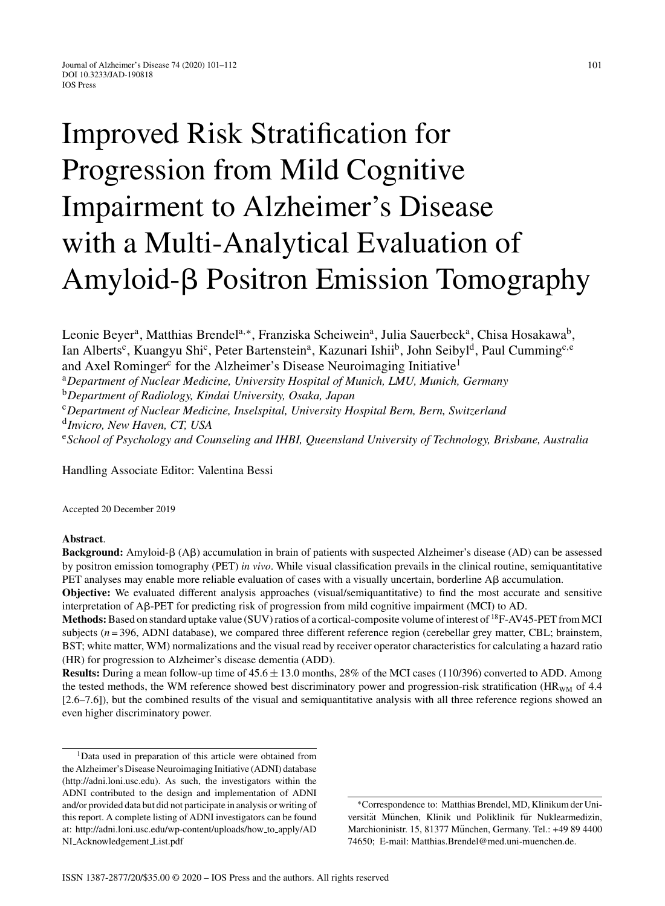# Improved Risk Stratification for Progression from Mild Cognitive Impairment to Alzheimer's Disease with a Multi-Analytical Evaluation of Amyloid- $\beta$  Positron Emission Tomography

Leonie Beyer<sup>a</sup>, Matthias Brendel<sup>a,∗</sup>, Franziska Scheiwein<sup>a</sup>, Julia Sauerbeck<sup>a</sup>, Chisa Hosakawa<sup>b</sup>, Ian Alberts<sup>c</sup>, Kuangyu Shi<sup>c</sup>, Peter Bartenstein<sup>a</sup>, Kazunari Ishii<sup>b</sup>, John Seibyl<sup>d</sup>, Paul Cumming<sup>c, e</sup> and Axel Rominger<sup>c</sup> for the Alzheimer's Disease Neuroimaging Initiative<sup>1</sup> <sup>a</sup>*Department of Nuclear Medicine, University Hospital of Munich, LMU, Munich, Germany* <sup>b</sup>*Department of Radiology, Kindai University, Osaka, Japan* <sup>c</sup>*Department of Nuclear Medicine, Inselspital, University Hospital Bern, Bern, Switzerland* <sup>d</sup>*Invicro, New Haven, CT, USA* <sup>e</sup>*School of Psychology and Counseling and IHBI, Queensland University of Technology, Brisbane, Australia*

Handling Associate Editor: Valentina Bessi

Accepted 20 December 2019

#### **Abstract**.

Background: Amyloid- $\beta$  (A $\beta$ ) accumulation in brain of patients with suspected Alzheimer's disease (AD) can be assessed by positron emission tomography (PET) *in vivo*. While visual classification prevails in the clinical routine, semiquantitative PET analyses may enable more reliable evaluation of cases with a visually uncertain, borderline  $\Delta\beta$  accumulation.

**Objective:** We evaluated different analysis approaches (visual/semiquantitative) to find the most accurate and sensitive interpretation of Aß-PET for predicting risk of progression from mild cognitive impairment (MCI) to AD.

**Methods:**Based on standard uptake value (SUV) ratios of a cortical-composite volume of interest of 18F-AV45-PET from MCI subjects ( $n = 396$ , ADNI database), we compared three different reference region (cerebellar grey matter, CBL; brainstem, BST; white matter, WM) normalizations and the visual read by receiver operator characteristics for calculating a hazard ratio (HR) for progression to Alzheimer's disease dementia (ADD).

**Results:** During a mean follow-up time of 45.6 ± 13.0 months, 28% of the MCI cases (110/396) converted to ADD. Among the tested methods, the WM reference showed best discriminatory power and progression-risk stratification (HR<sub>WM</sub> of 4.4 [2.6–7.6]), but the combined results of the visual and semiquantitative analysis with all three reference regions showed an even higher discriminatory power.

∗Correspondence to: Matthias Brendel, MD, Klinikum der Universität München, Klinik und Poliklinik für Nuklearmedizin, Marchioninistr. 15, 81377 München, Germany. Tel.: +49 89 4400 74650; E-mail: [Matthias.Brendel@med.uni-muenchen.de](mailto:Matthias.Brendel@med.uni-muenchen.de).

<sup>&</sup>lt;sup>1</sup>Data used in preparation of this article were obtained from the Alzheimer's Disease Neuroimaging Initiative (ADNI) database ([http://adni.loni.usc.edu\)](http://adni.loni.usc.edu). As such, the investigators within the ADNI contributed to the design and implementation of ADNI and/or provided data but did not participate in analysis or writing of this report. A complete listing of ADNI investigators can be found at: [http://adni.loni.usc.edu/wp-content/uploads/how](http://adni.loni.usc.edu/wp-content/uploads/how_to_apply/ADNI_Acknowledgement_List.pdf) to apply/AD NI [Acknowledgement](http://adni.loni.usc.edu/wp-content/uploads/how_to_apply/ADNI_Acknowledgement_List.pdf) List.pdf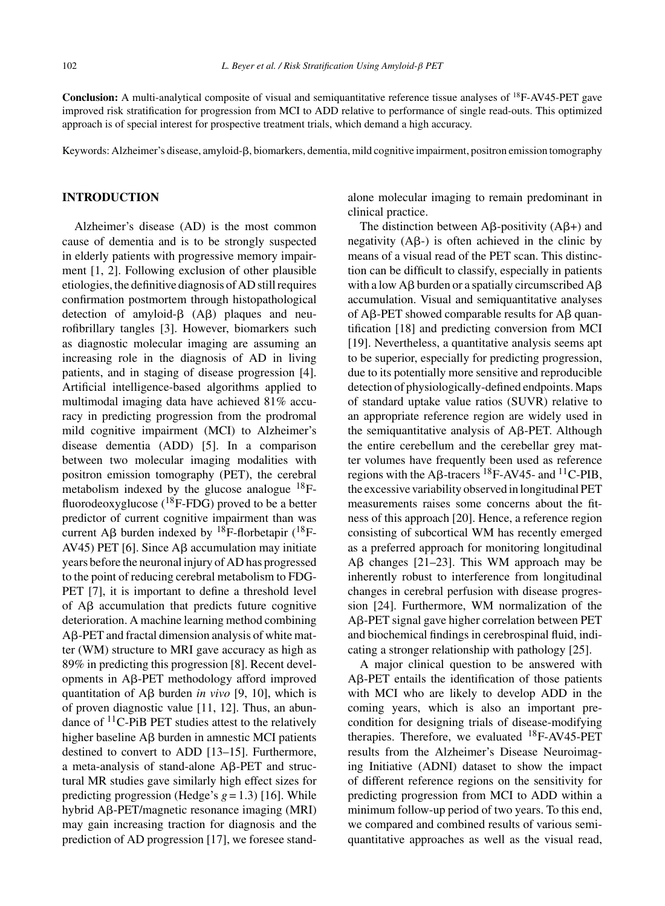**Conclusion:** A multi-analytical composite of visual and semiquantitative reference tissue analyses of 18F-AV45-PET gave improved risk stratification for progression from MCI to ADD relative to performance of single read-outs. This optimized approach is of special interest for prospective treatment trials, which demand a high accuracy.

Keywords: Alzheimer's disease, amyloid-ß, biomarkers, dementia, mild cognitive impairment, positron emission tomography

# **INTRODUCTION**

Alzheimer's disease (AD) is the most common cause of dementia and is to be strongly suspected in elderly patients with progressive memory impairment [1, 2]. Following exclusion of other plausible etiologies, the definitive diagnosis of AD still requires confirmation postmortem through histopathological detection of amyloid- $\beta$  (A $\beta$ ) plaques and neurofibrillary tangles [3]. However, biomarkers such as diagnostic molecular imaging are assuming an increasing role in the diagnosis of AD in living patients, and in staging of disease progression [4]. Artificial intelligence-based algorithms applied to multimodal imaging data have achieved 81% accuracy in predicting progression from the prodromal mild cognitive impairment (MCI) to Alzheimer's disease dementia (ADD) [5]. In a comparison between two molecular imaging modalities with positron emission tomography (PET), the cerebral metabolism indexed by the glucose analogue  $^{18}F$ fluorodeoxyglucose  $(^{18}F\text{-FDG})$  proved to be a better predictor of current cognitive impairment than was current A $\beta$  burden indexed by <sup>18</sup>F-florbetapir (<sup>18</sup>F-AV45) PET [6]. Since  $\text{A}\beta$  accumulation may initiate years before the neuronal injury of AD has progressed to the point of reducing cerebral metabolism to FDG-PET [7], it is important to define a threshold level of  $\text{A}\beta$  accumulation that predicts future cognitive deterioration. A machine learning method combining A<sub>B</sub>-PET and fractal dimension analysis of white matter (WM) structure to MRI gave accuracy as high as 89% in predicting this progression [8]. Recent devel $opments$  in A $\beta$ -PET methodology afford improved quantitation of  $\text{A}\beta$  burden *in vivo* [9, 10], which is of proven diagnostic value [11, 12]. Thus, an abundance of  ${}^{11}$ C-PiB PET studies attest to the relatively higher baseline  $\overline{AB}$  burden in amnestic MCI patients destined to convert to ADD [13–15]. Furthermore, a meta-analysis of stand-alone  $\mathsf{A}\beta\text{-PET}$  and structural MR studies gave similarly high effect sizes for predicting progression (Hedge's  $g = 1.3$ ) [16]. While hybrid Aβ-PET/magnetic resonance imaging (MRI) may gain increasing traction for diagnosis and the prediction of AD progression [17], we foresee standalone molecular imaging to remain predominant in clinical practice.

The distinction between A $\beta$ -positivity (A $\beta$ +) and negativity  $(A\beta)$  is often achieved in the clinic by means of a visual read of the PET scan. This distinction can be difficult to classify, especially in patients with a low  $A\beta$  burden or a spatially circumscribed  $A\beta$ accumulation. Visual and semiquantitative analyses of A $\beta$ -PET showed comparable results for A $\beta$  quantification [18] and predicting conversion from MCI [19]. Nevertheless, a quantitative analysis seems apt to be superior, especially for predicting progression, due to its potentially more sensitive and reproducible detection of physiologically-defined endpoints. Maps of standard uptake value ratios (SUVR) relative to an appropriate reference region are widely used in the semiquantitative analysis of  $A\beta$ -PET. Although the entire cerebellum and the cerebellar grey matter volumes have frequently been used as reference regions with the A $\beta$ -tracers <sup>18</sup>F-AV45- and <sup>11</sup>C-PIB, the excessive variability observed in longitudinal PET measurements raises some concerns about the fitness of this approach [20]. Hence, a reference region consisting of subcortical WM has recently emerged as a preferred approach for monitoring longitudinal  $\text{A}\beta$  changes [21–23]. This WM approach may be inherently robust to interference from longitudinal changes in cerebral perfusion with disease progression [24]. Furthermore, WM normalization of the Aß-PET signal gave higher correlation between PET and biochemical findings in cerebrospinal fluid, indicating a stronger relationship with pathology [25].

A major clinical question to be answered with A<sub>B</sub>-PET entails the identification of those patients with MCI who are likely to develop ADD in the coming years, which is also an important precondition for designing trials of disease-modifying therapies. Therefore, we evaluated  $^{18}$ F-AV45-PET results from the Alzheimer's Disease Neuroimaging Initiative (ADNI) dataset to show the impact of different reference regions on the sensitivity for predicting progression from MCI to ADD within a minimum follow-up period of two years. To this end, we compared and combined results of various semiquantitative approaches as well as the visual read,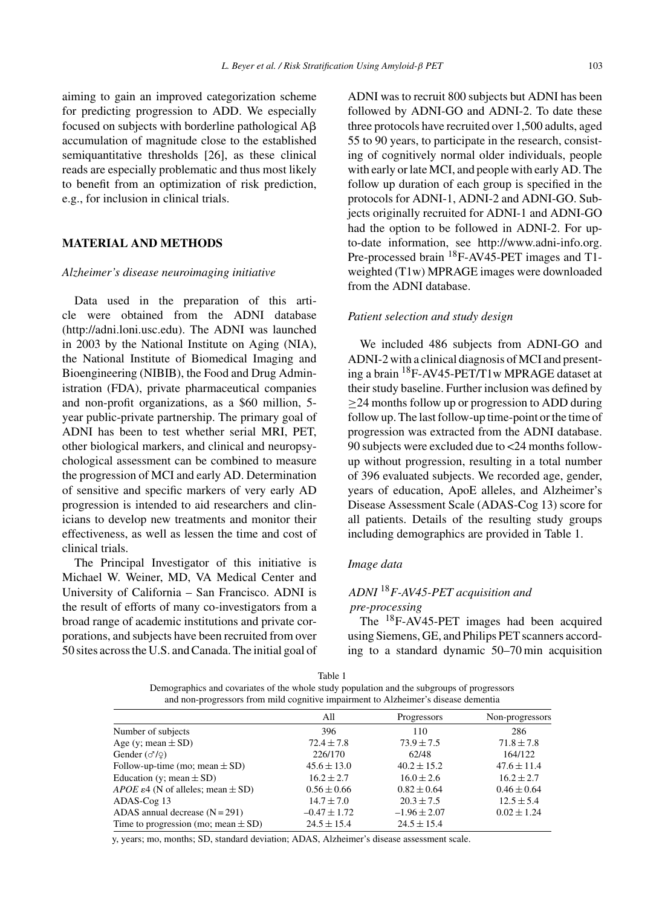aiming to gain an improved categorization scheme for predicting progression to ADD. We especially focused on subjects with borderline pathological  $A\beta$ accumulation of magnitude close to the established semiquantitative thresholds [26], as these clinical reads are especially problematic and thus most likely to benefit from an optimization of risk prediction, e.g., for inclusion in clinical trials.

# **MATERIAL AND METHODS**

# *Alzheimer's disease neuroimaging initiative*

Data used in the preparation of this article were obtained from the ADNI database [\(http://adni.loni.usc.edu\)](http://adni.loni.usc.edu). The ADNI was launched in 2003 by the National Institute on Aging (NIA), the National Institute of Biomedical Imaging and Bioengineering (NIBIB), the Food and Drug Administration (FDA), private pharmaceutical companies and non-profit organizations, as a \$60 million, 5 year public-private partnership. The primary goal of ADNI has been to test whether serial MRI, PET, other biological markers, and clinical and neuropsychological assessment can be combined to measure the progression of MCI and early AD. Determination of sensitive and specific markers of very early AD progression is intended to aid researchers and clinicians to develop new treatments and monitor their effectiveness, as well as lessen the time and cost of clinical trials.

The Principal Investigator of this initiative is Michael W. Weiner, MD, VA Medical Center and University of California – San Francisco. ADNI is the result of efforts of many co-investigators from a broad range of academic institutions and private corporations, and subjects have been recruited from over 50 sites across the U.S. and Canada. The initial goal of ADNI was to recruit 800 subjects but ADNI has been followed by ADNI-GO and ADNI-2. To date these three protocols have recruited over 1,500 adults, aged 55 to 90 years, to participate in the research, consisting of cognitively normal older individuals, people with early or late MCI, and people with early AD. The follow up duration of each group is specified in the protocols for ADNI-1, ADNI-2 and ADNI-GO. Subjects originally recruited for ADNI-1 and ADNI-GO had the option to be followed in ADNI-2. For upto-date information, see [http://www.adni-info.org.](http://www.adni-info.org) Pre-processed brain <sup>18</sup>F-AV45-PET images and T1weighted (T1w) MPRAGE images were downloaded from the ADNI database.

# *Patient selection and study design*

We included 486 subjects from ADNI-GO and ADNI-2 with a clinical diagnosis of MCI and presenting a brain 18F-AV45-PET/T1w MPRAGE dataset at their study baseline. Further inclusion was defined by ≥24 months follow up or progression to ADD during follow up. The last follow-up time-point or the time of progression was extracted from the ADNI database. 90 subjects were excluded due to <24 months followup without progression, resulting in a total number of 396 evaluated subjects. We recorded age, gender, years of education, ApoE alleles, and Alzheimer's Disease Assessment Scale (ADAS-Cog 13) score for all patients. Details of the resulting study groups including demographics are provided in Table 1.

# *Image data*

# *ADNI* <sup>18</sup>*F-AV45-PET acquisition and*

# *pre-processing*

The 18F-AV45-PET images had been acquired using Siemens, GE, and Philips PET scanners according to a standard dynamic 50–70 min acquisition

| ٠<br>۰.<br>M.<br>٧<br>۰, |  |
|--------------------------|--|
|--------------------------|--|

Demographics and covariates of the whole study population and the subgroups of progressors and non-progressors from mild cognitive impairment to Alzheimer's disease dementia

|                                                           | A11              | Progressors      | Non-progressors |
|-----------------------------------------------------------|------------------|------------------|-----------------|
| Number of subjects                                        | 396              | 110              | 286             |
| Age (y; mean $\pm$ SD)                                    | $72.4 \pm 7.8$   | $73.9 \pm 7.5$   | $71.8 \pm 7.8$  |
| Gender $(\sigma/\varphi)$                                 | 226/170          | 62/48            | 164/122         |
| Follow-up-time (mo; mean $\pm$ SD)                        | $45.6 \pm 13.0$  | $40.2 + 15.2$    | $47.6 \pm 11.4$ |
| Education (y; mean $\pm$ SD)                              | $16.2 + 2.7$     | $16.0 \pm 2.6$   | $16.2 + 2.7$    |
| <i>APOE</i> $\varepsilon$ 4 (N of alleles; mean $\pm$ SD) | $0.56 \pm 0.66$  | $0.82 \pm 0.64$  | $0.46 \pm 0.64$ |
| ADAS-Cog 13                                               | $14.7 \pm 7.0$   | $20.3 + 7.5$     | $12.5 \pm 5.4$  |
| ADAS annual decrease $(N = 291)$                          | $-0.47 \pm 1.72$ | $-1.96 \pm 2.07$ | $0.02 \pm 1.24$ |
| Time to progression (mo; mean $\pm$ SD)                   | $24.5 \pm 15.4$  | $24.5 \pm 15.4$  |                 |

y, years; mo, months; SD, standard deviation; ADAS, Alzheimer's disease assessment scale.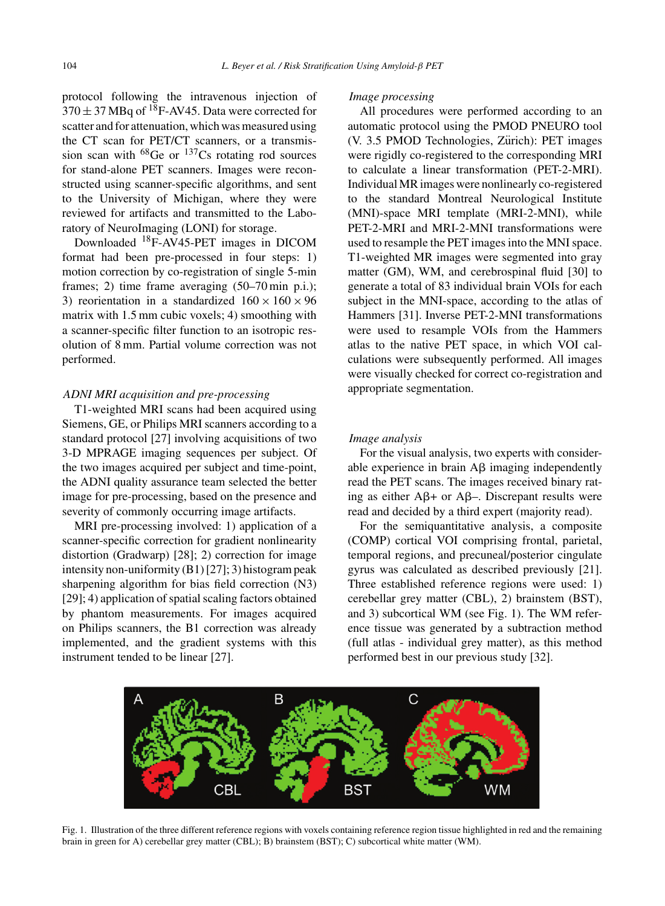protocol following the intravenous injection of  $370 \pm 37$  MBq of <sup>18</sup>F-AV45. Data were corrected for scatter and for attenuation, which was measured using the CT scan for PET/CT scanners, or a transmission scan with  $^{68}$ Ge or  $^{137}$ Cs rotating rod sources for stand-alone PET scanners. Images were reconstructed using scanner-specific algorithms, and sent to the University of Michigan, where they were reviewed for artifacts and transmitted to the Laboratory of NeuroImaging (LONI) for storage.

Downloaded 18F-AV45-PET images in DICOM format had been pre-processed in four steps: 1) motion correction by co-registration of single 5-min frames; 2) time frame averaging (50–70 min p.i.); 3) reorientation in a standardized  $160 \times 160 \times 96$ matrix with 1.5 mm cubic voxels; 4) smoothing with a scanner-specific filter function to an isotropic resolution of 8 mm. Partial volume correction was not performed.

#### *ADNI MRI acquisition and pre-processing*

T1-weighted MRI scans had been acquired using Siemens, GE, or Philips MRI scanners according to a standard protocol [27] involving acquisitions of two 3-D MPRAGE imaging sequences per subject. Of the two images acquired per subject and time-point, the ADNI quality assurance team selected the better image for pre-processing, based on the presence and severity of commonly occurring image artifacts.

MRI pre-processing involved: 1) application of a scanner-specific correction for gradient nonlinearity distortion (Gradwarp) [28]; 2) correction for image intensity non-uniformity (B1) [27]; 3) histogram peak sharpening algorithm for bias field correction (N3) [29]; 4) application of spatial scaling factors obtained by phantom measurements. For images acquired on Philips scanners, the B1 correction was already implemented, and the gradient systems with this instrument tended to be linear [27].

#### *Image processing*

All procedures were performed according to an automatic protocol using the PMOD PNEURO tool (V. 3.5 PMOD Technologies, Zürich): PET images were rigidly co-registered to the corresponding MRI to calculate a linear transformation (PET-2-MRI). Individual MR images were nonlinearly co-registered to the standard Montreal Neurological Institute (MNI)-space MRI template (MRI-2-MNI), while PET-2-MRI and MRI-2-MNI transformations were used to resample the PET images into the MNI space. T1-weighted MR images were segmented into gray matter (GM), WM, and cerebrospinal fluid [30] to generate a total of 83 individual brain VOIs for each subject in the MNI-space, according to the atlas of Hammers [31]. Inverse PET-2-MNI transformations were used to resample VOIs from the Hammers atlas to the native PET space, in which VOI calculations were subsequently performed. All images were visually checked for correct co-registration and appropriate segmentation.

# *Image analysis*

For the visual analysis, two experts with considerable experience in brain  $\overrightarrow{AB}$  imaging independently read the PET scans. The images received binary rating as either  $A\beta$ + or  $A\beta$ -. Discrepant results were read and decided by a third expert (majority read).

For the semiquantitative analysis, a composite (COMP) cortical VOI comprising frontal, parietal, temporal regions, and precuneal/posterior cingulate gyrus was calculated as described previously [21]. Three established reference regions were used: 1) cerebellar grey matter (CBL), 2) brainstem (BST), and 3) subcortical WM (see Fig. 1). The WM reference tissue was generated by a subtraction method (full atlas - individual grey matter), as this method performed best in our previous study [32].



Fig. 1. Illustration of the three different reference regions with voxels containing reference region tissue highlighted in red and the remaining brain in green for A) cerebellar grey matter (CBL); B) brainstem (BST); C) subcortical white matter (WM).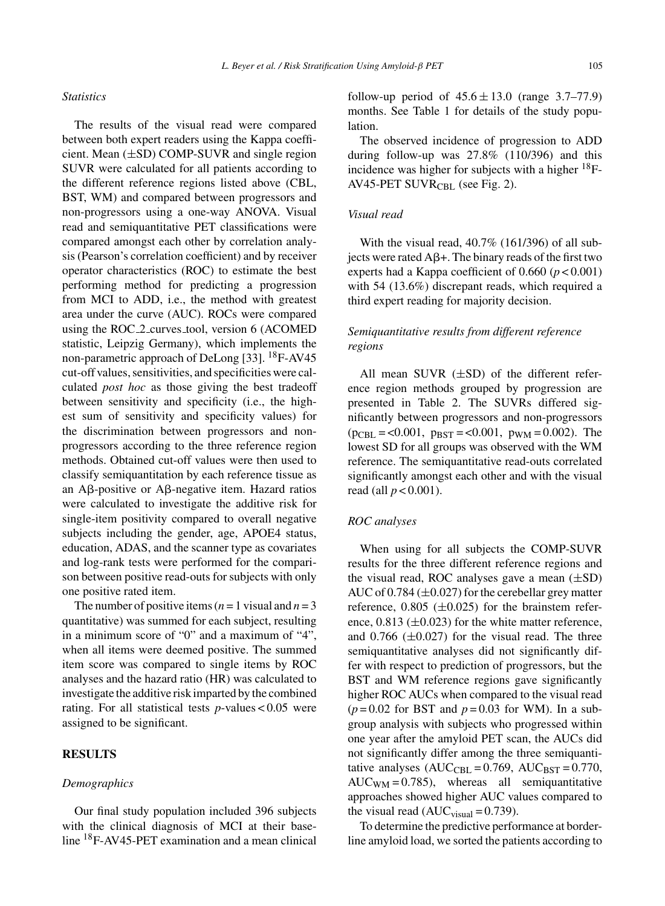# *Statistics*

The results of the visual read were compared between both expert readers using the Kappa coefficient. Mean (±SD) COMP-SUVR and single region SUVR were calculated for all patients according to the different reference regions listed above (CBL, BST, WM) and compared between progressors and non-progressors using a one-way ANOVA. Visual read and semiquantitative PET classifications were compared amongst each other by correlation analysis (Pearson's correlation coefficient) and by receiver operator characteristics (ROC) to estimate the best performing method for predicting a progression from MCI to ADD, i.e., the method with greatest area under the curve (AUC). ROCs were compared using the ROC 2 curves tool, version 6 (ACOMED statistic, Leipzig Germany), which implements the non-parametric approach of DeLong [33]. 18F-AV45 cut-off values, sensitivities, and specificities were calculated *post hoc* as those giving the best tradeoff between sensitivity and specificity (i.e., the highest sum of sensitivity and specificity values) for the discrimination between progressors and nonprogressors according to the three reference region methods. Obtained cut-off values were then used to classify semiquantitation by each reference tissue as an A $\beta$ -positive or A $\beta$ -negative item. Hazard ratios were calculated to investigate the additive risk for single-item positivity compared to overall negative subjects including the gender, age, APOE4 status, education, ADAS, and the scanner type as covariates and log-rank tests were performed for the comparison between positive read-outs for subjects with only one positive rated item.

The number of positive items ( $n = 1$  visual and  $n = 3$ quantitative) was summed for each subject, resulting in a minimum score of "0" and a maximum of "4", when all items were deemed positive. The summed item score was compared to single items by ROC analyses and the hazard ratio (HR) was calculated to investigate the additive risk imparted by the combined rating. For all statistical tests *p*-values < 0.05 were assigned to be significant.

#### **RESULTS**

## *Demographics*

Our final study population included 396 subjects with the clinical diagnosis of MCI at their baseline 18F-AV45-PET examination and a mean clinical follow-up period of  $45.6 \pm 13.0$  (range 3.7–77.9) months. See Table 1 for details of the study population.

The observed incidence of progression to ADD during follow-up was 27.8% (110/396) and this incidence was higher for subjects with a higher  $^{18}$ F-AV45-PET SUVR $_{\text{CBI}}$  (see Fig. 2).

# *Visual read*

With the visual read, 40.7% (161/396) of all subjects were rated  $A\beta+$ . The binary reads of the first two experts had a Kappa coefficient of  $0.660$  ( $p < 0.001$ ) with 54 (13.6%) discrepant reads, which required a third expert reading for majority decision.

# *Semiquantitative results from different reference regions*

All mean SUVR  $(\pm SD)$  of the different reference region methods grouped by progression are presented in Table 2. The SUVRs differed significantly between progressors and non-progressors  $(p_{\text{CBL}} = 0.001, p_{\text{BST}} = 0.001, p_{\text{WM}} = 0.002)$ . The lowest SD for all groups was observed with the WM reference. The semiquantitative read-outs correlated significantly amongst each other and with the visual read (all *p* < 0.001).

# *ROC analyses*

When using for all subjects the COMP-SUVR results for the three different reference regions and the visual read, ROC analyses gave a mean  $(\pm SD)$ AUC of  $0.784 \, (\pm 0.027)$  for the cerebellar grey matter reference,  $0.805$  ( $\pm 0.025$ ) for the brainstem reference,  $0.813$  ( $\pm 0.023$ ) for the white matter reference, and  $0.766$  ( $\pm 0.027$ ) for the visual read. The three semiquantitative analyses did not significantly differ with respect to prediction of progressors, but the BST and WM reference regions gave significantly higher ROC AUCs when compared to the visual read  $(p=0.02$  for BST and  $p=0.03$  for WM). In a subgroup analysis with subjects who progressed within one year after the amyloid PET scan, the AUCs did not significantly differ among the three semiquantitative analyses  $(AUC<sub>CBL</sub> = 0.769, AUC<sub>BST</sub> = 0.770,$  $AUC_{WM} = 0.785$ , whereas all semiquantitative approaches showed higher AUC values compared to the visual read ( $AUC<sub>visual</sub> = 0.739$ ).

To determine the predictive performance at borderline amyloid load, we sorted the patients according to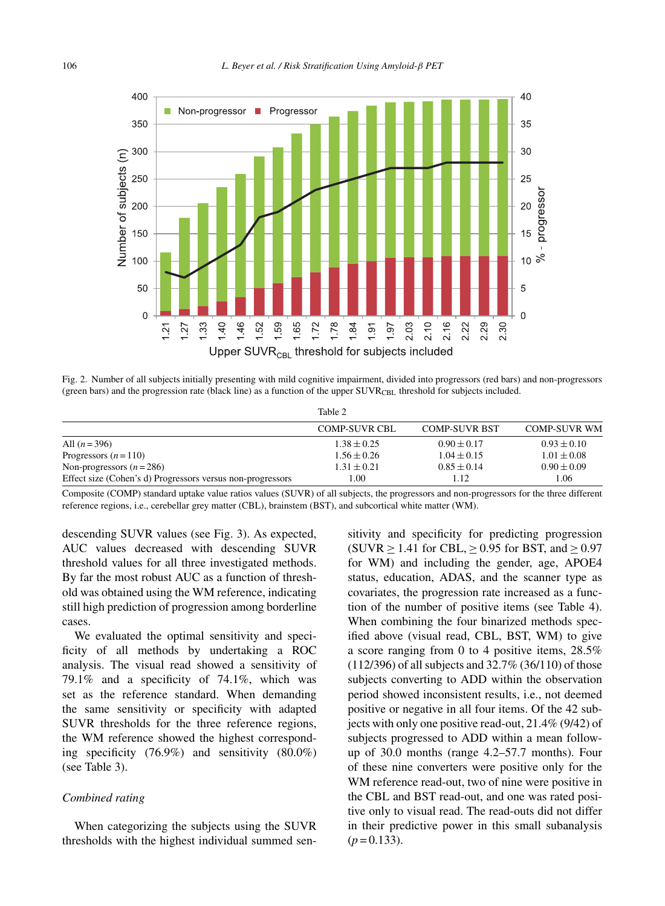

Fig. 2. Number of all subjects initially presenting with mild cognitive impairment, divided into progressors (red bars) and non-progressors (green bars) and the progression rate (black line) as a function of the upper  $\text{SUVR}_{\text{CBL}}$  threshold for subjects included.

|                                                            | Table 2              |                      |                     |
|------------------------------------------------------------|----------------------|----------------------|---------------------|
|                                                            | <b>COMP-SUVR CBL</b> | <b>COMP-SUVR BST</b> | <b>COMP-SUVR WM</b> |
| All $(n=396)$                                              | $1.38 \pm 0.25$      | $0.90 \pm 0.17$      | $0.93 \pm 0.10$     |
| Progressors $(n=110)$                                      | $1.56 \pm 0.26$      | $1.04 \pm 0.15$      | $1.01 \pm 0.08$     |
| Non-progressors $(n=286)$                                  | $1.31 \pm 0.21$      | $0.85 \pm 0.14$      | $0.90 \pm 0.09$     |
| Effect size (Cohen's d) Progressors versus non-progressors | 1.00                 | 1.12                 | LO6                 |

Composite (COMP) standard uptake value ratios values (SUVR) of all subjects, the progressors and non-progressors for the three different reference regions, i.e., cerebellar grey matter (CBL), brainstem (BST), and subcortical white matter (WM).

descending SUVR values (see Fig. 3). As expected, AUC values decreased with descending SUVR threshold values for all three investigated methods. By far the most robust AUC as a function of threshold was obtained using the WM reference, indicating still high prediction of progression among borderline cases.

We evaluated the optimal sensitivity and specificity of all methods by undertaking a ROC analysis. The visual read showed a sensitivity of 79.1% and a specificity of 74.1%, which was set as the reference standard. When demanding the same sensitivity or specificity with adapted SUVR thresholds for the three reference regions, the WM reference showed the highest corresponding specificity (76.9%) and sensitivity (80.0%) (see Table 3).

# *Combined rating*

When categorizing the subjects using the SUVR thresholds with the highest individual summed sen-

sitivity and specificity for predicting progression (SUVR  $\geq$  1.41 for CBL,  $\geq$  0.95 for BST, and  $\geq$  0.97 for WM) and including the gender, age, APOE4 status, education, ADAS, and the scanner type as covariates, the progression rate increased as a function of the number of positive items (see Table 4). When combining the four binarized methods specified above (visual read, CBL, BST, WM) to give a score ranging from 0 to 4 positive items, 28.5% (112/396) of all subjects and 32.7% (36/110) of those subjects converting to ADD within the observation period showed inconsistent results, i.e., not deemed positive or negative in all four items. Of the 42 subjects with only one positive read-out, 21.4% (9/42) of subjects progressed to ADD within a mean followup of 30.0 months (range 4.2–57.7 months). Four of these nine converters were positive only for the WM reference read-out, two of nine were positive in the CBL and BST read-out, and one was rated positive only to visual read. The read-outs did not differ in their predictive power in this small subanalysis  $(p=0.133)$ .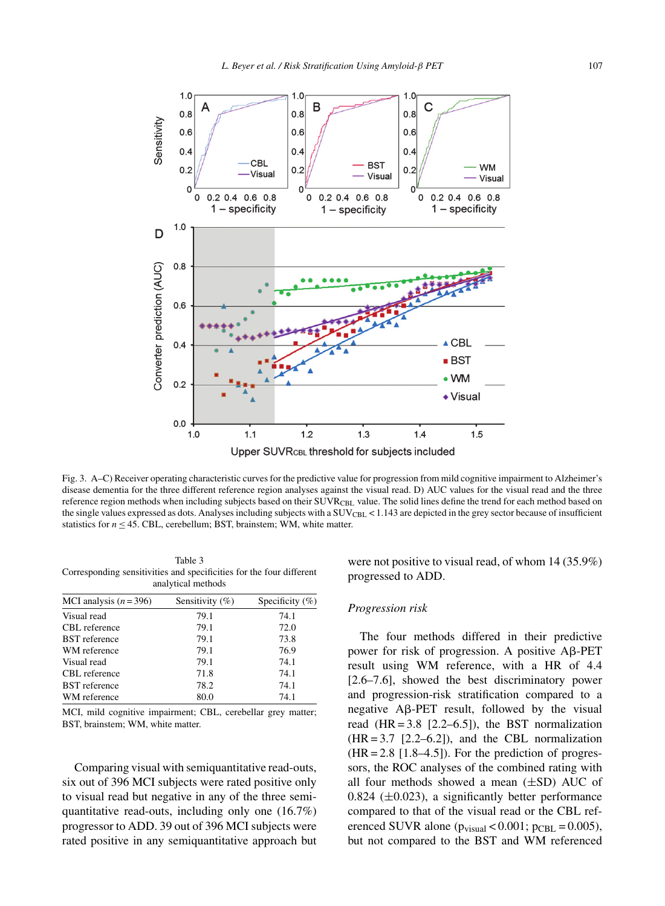

Fig. 3. A–C) Receiver operating characteristic curves for the predictive value for progression from mild cognitive impairment to Alzheimer's disease dementia for the three different reference region analyses against the visual read. D) AUC values for the visual read and the three reference region methods when including subjects based on their SUVRCBL value. The solid lines define the trend for each method based on the single values expressed as dots. Analyses including subjects with a  $\text{SUV}_{\text{CBL}}$  < 1.143 are depicted in the grey sector because of insufficient statistics for  $n \leq 45$ . CBL, cerebellum; BST, brainstem; WM, white matter.

Table 3 Corresponding sensitivities and specificities for the four different analytical methods

| Sensitivity $(\%)$<br>Specificity $(\%)$ |
|------------------------------------------|
| 74.1                                     |
| 72.0                                     |
| 73.8                                     |
| 76.9                                     |
| 74.1                                     |
| 74.1                                     |
| 74.1                                     |
| 74.1                                     |
|                                          |

MCI, mild cognitive impairment; CBL, cerebellar grey matter; BST, brainstem; WM, white matter.

Comparing visual with semiquantitative read-outs, six out of 396 MCI subjects were rated positive only to visual read but negative in any of the three semiquantitative read-outs, including only one (16.7%) progressor to ADD. 39 out of 396 MCI subjects were rated positive in any semiquantitative approach but were not positive to visual read, of whom 14 (35.9%) progressed to ADD.

#### *Progression risk*

The four methods differed in their predictive power for risk of progression. A positive  $\mathsf{A}\beta\text{-PET}$ result using WM reference, with a HR of 4.4 [2.6–7.6], showed the best discriminatory power and progression-risk stratification compared to a negative  $\mathsf{A}\beta\text{-PET}$  result, followed by the visual read  $(HR = 3.8$   $[2.2-6.5]$ , the BST normalization  $(HR = 3.7 [2.2–6.2])$ , and the CBL normalization  $(HR = 2.8$  [1.8–4.5]). For the prediction of progressors, the ROC analyses of the combined rating with all four methods showed a mean  $(\pm SD)$  AUC of  $0.824$  ( $\pm 0.023$ ), a significantly better performance compared to that of the visual read or the CBL referenced SUVR alone ( $p_{visual} < 0.001$ ;  $p_{CBL} = 0.005$ ), but not compared to the BST and WM referenced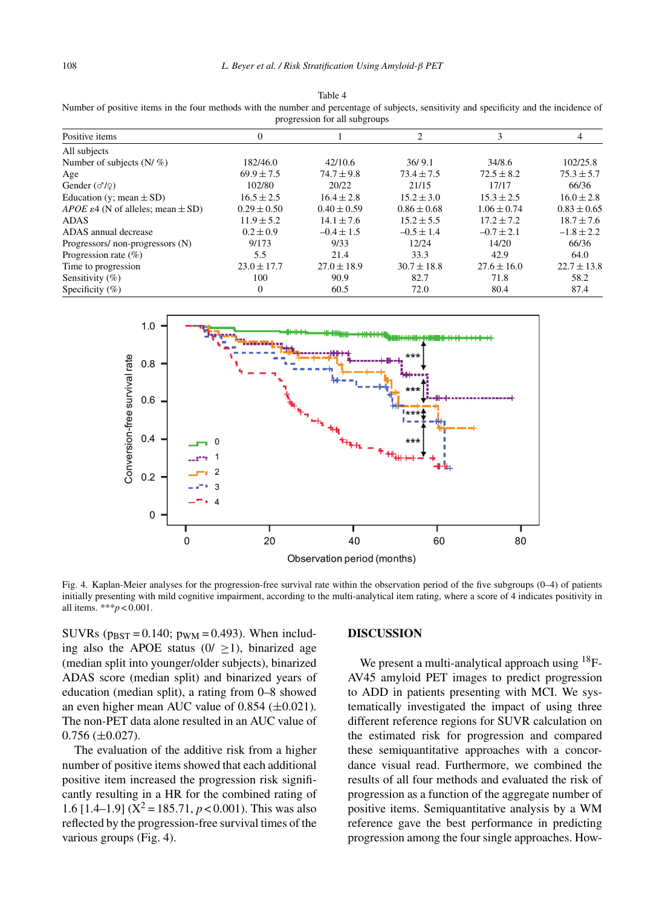| Number of positive items in the four methods with the number and percentage of subjects, sensitivity and specificity and the incidence of<br>progression for all subgroups |  |  |  |  |  |
|----------------------------------------------------------------------------------------------------------------------------------------------------------------------------|--|--|--|--|--|
| Positive items                                                                                                                                                             |  |  |  |  |  |
| $\Lambda$ ll cubioota                                                                                                                                                      |  |  |  |  |  |

Table 4

| All subjects                                              |                 |                 |                 |                 |                 |
|-----------------------------------------------------------|-----------------|-----------------|-----------------|-----------------|-----------------|
| Number of subjects $(N/\%)$                               | 182/46.0        | 42/10.6         | 36/9.1          | 34/8.6          | 102/25.8        |
| Age                                                       | $69.9 \pm 7.5$  | $74.7 \pm 9.8$  | $73.4 \pm 7.5$  | $72.5 \pm 8.2$  | $75.3 \pm 5.7$  |
| Gender $(\sigma/\varphi)$                                 | 102/80          | 20/22           | 21/15           | 17/17           | 66/36           |
| Education (y; mean $\pm$ SD)                              | $16.5 \pm 2.5$  | $16.4 \pm 2.8$  | $15.2 \pm 3.0$  | $15.3 + 2.5$    | $16.0 \pm 2.8$  |
| <i>APOE</i> $\varepsilon$ 4 (N of alleles; mean $\pm$ SD) | $0.29 \pm 0.50$ | $0.40 \pm 0.59$ | $0.86 \pm 0.68$ | $1.06 \pm 0.74$ | $0.83 \pm 0.65$ |
| <b>ADAS</b>                                               | $11.9 \pm 5.2$  | $14.1 \pm 7.6$  | $15.2 \pm 5.5$  | $17.2 + 7.2$    | $18.7 \pm 7.6$  |
| ADAS annual decrease                                      | $0.2 \pm 0.9$   | $-0.4 \pm 1.5$  | $-0.5 \pm 1.4$  | $-0.7 \pm 2.1$  | $-1.8 \pm 2.2$  |
| Progressors/non-progressors (N)                           | 9/173           | 9/33            | 12/24           | 14/20           | 66/36           |
| Progression rate $(\%)$                                   | 5.5             | 21.4            | 33.3            | 42.9            | 64.0            |
| Time to progression                                       | $23.0 \pm 17.7$ | $27.0 \pm 18.9$ | $30.7 \pm 18.8$ | $27.6 \pm 16.0$ | $22.7 \pm 13.8$ |
| Sensitivity $(\% )$                                       | 100             | 90.9            | 82.7            | 71.8            | 58.2            |
| Specificity $(\% )$                                       | $\Omega$        | 60.5            | 72.0            | 80.4            | 87.4            |
|                                                           |                 |                 |                 |                 |                 |



Fig. 4. Kaplan-Meier analyses for the progression-free survival rate within the observation period of the five subgroups (0–4) of patients initially presenting with mild cognitive impairment, according to the multi-analytical item rating, where a score of 4 indicates positivity in all items. \*\*\**p* < 0.001.

SUVRs ( $p_{\text{BST}} = 0.140$ ;  $p_{\text{WM}} = 0.493$ ). When including also the APOE status  $(0/\geq 1)$ , binarized age (median split into younger/older subjects), binarized ADAS score (median split) and binarized years of education (median split), a rating from 0–8 showed an even higher mean AUC value of  $0.854$  ( $\pm 0.021$ ). The non-PET data alone resulted in an AUC value of  $0.756 \ (\pm 0.027)$ .

The evaluation of the additive risk from a higher number of positive items showed that each additional positive item increased the progression risk significantly resulting in a HR for the combined rating of 1.6 [1.4–1.9] ( $X^2 = 185.71$ ,  $p < 0.001$ ). This was also reflected by the progression-free survival times of the various groups (Fig. 4).

#### **DISCUSSION**

We present a multi-analytical approach using  $^{18}F-$ AV45 amyloid PET images to predict progression to ADD in patients presenting with MCI. We systematically investigated the impact of using three different reference regions for SUVR calculation on the estimated risk for progression and compared these semiquantitative approaches with a concordance visual read. Furthermore, we combined the results of all four methods and evaluated the risk of progression as a function of the aggregate number of positive items. Semiquantitative analysis by a WM reference gave the best performance in predicting progression among the four single approaches. How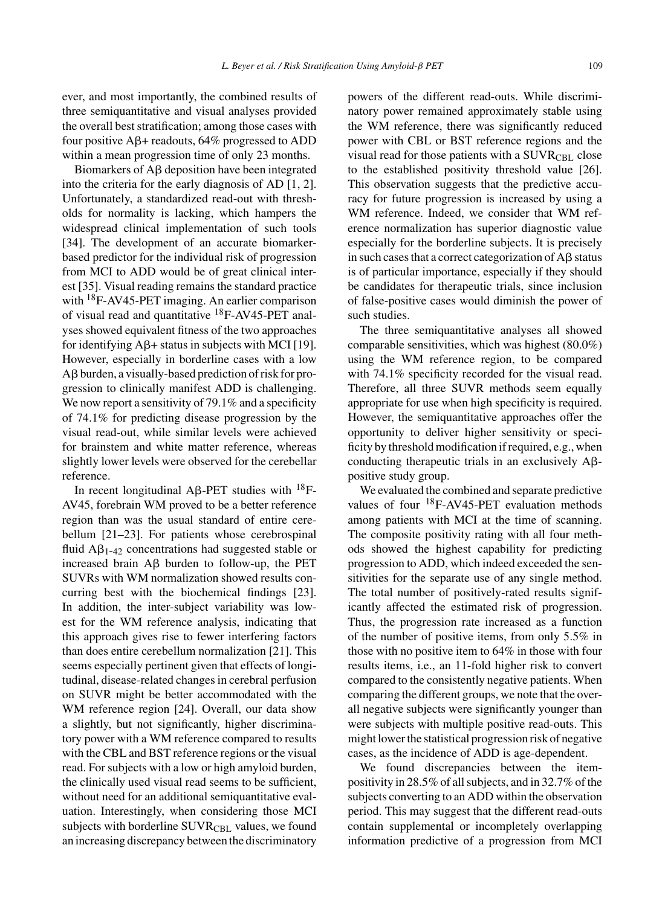ever, and most importantly, the combined results of three semiquantitative and visual analyses provided the overall best stratification; among those cases with four positive  $\mathbf{A}\mathbf{\beta}+$  readouts, 64% progressed to ADD within a mean progression time of only 23 months.

Biomarkers of  $A\beta$  deposition have been integrated into the criteria for the early diagnosis of AD [1, 2]. Unfortunately, a standardized read-out with thresholds for normality is lacking, which hampers the widespread clinical implementation of such tools [34]. The development of an accurate biomarkerbased predictor for the individual risk of progression from MCI to ADD would be of great clinical interest [35]. Visual reading remains the standard practice with <sup>18</sup>F-AV45-PET imaging. An earlier comparison of visual read and quantitative  $^{18}$ F-AV45-PET analyses showed equivalent fitness of the two approaches for identifying  $A\beta$ + status in subjects with MCI [19]. However, especially in borderline cases with a low Aß burden, a visually-based prediction of risk for progression to clinically manifest ADD is challenging. We now report a sensitivity of 79.1% and a specificity of 74.1% for predicting disease progression by the visual read-out, while similar levels were achieved for brainstem and white matter reference, whereas slightly lower levels were observed for the cerebellar reference.

In recent longitudinal A $\beta$ -PET studies with <sup>18</sup>F-AV45, forebrain WM proved to be a better reference region than was the usual standard of entire cerebellum [21–23]. For patients whose cerebrospinal fluid  $A\beta_{1-42}$  concentrations had suggested stable or increased brain  $\text{AB}$  burden to follow-up, the PET SUVRs with WM normalization showed results concurring best with the biochemical findings [23]. In addition, the inter-subject variability was lowest for the WM reference analysis, indicating that this approach gives rise to fewer interfering factors than does entire cerebellum normalization [21]. This seems especially pertinent given that effects of longitudinal, disease-related changes in cerebral perfusion on SUVR might be better accommodated with the WM reference region [24]. Overall, our data show a slightly, but not significantly, higher discriminatory power with a WM reference compared to results with the CBL and BST reference regions or the visual read. For subjects with a low or high amyloid burden, the clinically used visual read seems to be sufficient, without need for an additional semiquantitative evaluation. Interestingly, when considering those MCI subjects with borderline SUVR<sub>CBL</sub> values, we found an increasing discrepancy between the discriminatory powers of the different read-outs. While discriminatory power remained approximately stable using the WM reference, there was significantly reduced power with CBL or BST reference regions and the visual read for those patients with a  $\text{SUVR}_{\text{CBL}}$  close to the established positivity threshold value [26]. This observation suggests that the predictive accuracy for future progression is increased by using a WM reference. Indeed, we consider that WM reference normalization has superior diagnostic value especially for the borderline subjects. It is precisely in such cases that a correct categorization of  $A\beta$  status is of particular importance, especially if they should be candidates for therapeutic trials, since inclusion of false-positive cases would diminish the power of such studies.

The three semiquantitative analyses all showed comparable sensitivities, which was highest (80.0%) using the WM reference region, to be compared with 74.1% specificity recorded for the visual read. Therefore, all three SUVR methods seem equally appropriate for use when high specificity is required. However, the semiquantitative approaches offer the opportunity to deliver higher sensitivity or specificity by threshold modification if required, e.g., when conducting therapeutic trials in an exclusively  $A\beta$ positive study group.

We evaluated the combined and separate predictive values of four 18F-AV45-PET evaluation methods among patients with MCI at the time of scanning. The composite positivity rating with all four methods showed the highest capability for predicting progression to ADD, which indeed exceeded the sensitivities for the separate use of any single method. The total number of positively-rated results significantly affected the estimated risk of progression. Thus, the progression rate increased as a function of the number of positive items, from only 5.5% in those with no positive item to 64% in those with four results items, i.e., an 11-fold higher risk to convert compared to the consistently negative patients. When comparing the different groups, we note that the overall negative subjects were significantly younger than were subjects with multiple positive read-outs. This might lower the statistical progression risk of negative cases, as the incidence of ADD is age-dependent.

We found discrepancies between the itempositivity in 28.5% of all subjects, and in 32.7% of the subjects converting to an ADD within the observation period. This may suggest that the different read-outs contain supplemental or incompletely overlapping information predictive of a progression from MCI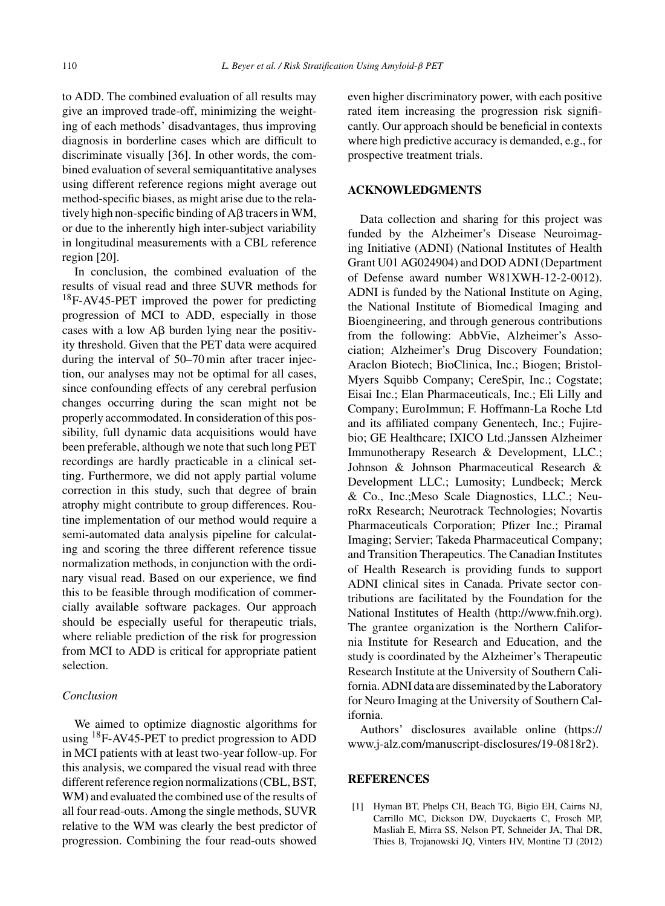to ADD. The combined evaluation of all results may give an improved trade-off, minimizing the weighting of each methods' disadvantages, thus improving diagnosis in borderline cases which are difficult to discriminate visually [36]. In other words, the combined evaluation of several semiquantitative analyses using different reference regions might average out method-specific biases, as might arise due to the relatively high non-specific binding of  $A\beta$  tracers in WM, or due to the inherently high inter-subject variability in longitudinal measurements with a CBL reference region [20].

In conclusion, the combined evaluation of the results of visual read and three SUVR methods for 18F-AV45-PET improved the power for predicting progression of MCI to ADD, especially in those cases with a low  $A\beta$  burden lying near the positivity threshold. Given that the PET data were acquired during the interval of 50–70 min after tracer injection, our analyses may not be optimal for all cases, since confounding effects of any cerebral perfusion changes occurring during the scan might not be properly accommodated. In consideration of this possibility, full dynamic data acquisitions would have been preferable, although we note that such long PET recordings are hardly practicable in a clinical setting. Furthermore, we did not apply partial volume correction in this study, such that degree of brain atrophy might contribute to group differences. Routine implementation of our method would require a semi-automated data analysis pipeline for calculating and scoring the three different reference tissue normalization methods, in conjunction with the ordinary visual read. Based on our experience, we find this to be feasible through modification of commercially available software packages. Our approach should be especially useful for therapeutic trials, where reliable prediction of the risk for progression from MCI to ADD is critical for appropriate patient selection.

# *Conclusion*

We aimed to optimize diagnostic algorithms for using <sup>18</sup>F-AV45-PET to predict progression to ADD in MCI patients with at least two-year follow-up. For this analysis, we compared the visual read with three different reference region normalizations (CBL, BST, WM) and evaluated the combined use of the results of all four read-outs. Among the single methods, SUVR relative to the WM was clearly the best predictor of progression. Combining the four read-outs showed

even higher discriminatory power, with each positive rated item increasing the progression risk significantly. Our approach should be beneficial in contexts where high predictive accuracy is demanded, e.g., for prospective treatment trials.

# **ACKNOWLEDGMENTS**

Data collection and sharing for this project was funded by the Alzheimer's Disease Neuroimaging Initiative (ADNI) (National Institutes of Health Grant U01 AG024904) and DOD ADNI (Department of Defense award number W81XWH-12-2-0012). ADNI is funded by the National Institute on Aging, the National Institute of Biomedical Imaging and Bioengineering, and through generous contributions from the following: AbbVie, Alzheimer's Association; Alzheimer's Drug Discovery Foundation; Araclon Biotech; BioClinica, Inc.; Biogen; Bristol-Myers Squibb Company; CereSpir, Inc.; Cogstate; Eisai Inc.; Elan Pharmaceuticals, Inc.; Eli Lilly and Company; EuroImmun; F. Hoffmann-La Roche Ltd and its affiliated company Genentech, Inc.; Fujirebio; GE Healthcare; IXICO Ltd.;Janssen Alzheimer Immunotherapy Research & Development, LLC.; Johnson & Johnson Pharmaceutical Research & Development LLC.; Lumosity; Lundbeck; Merck & Co., Inc.;Meso Scale Diagnostics, LLC.; NeuroRx Research; Neurotrack Technologies; Novartis Pharmaceuticals Corporation; Pfizer Inc.; Piramal Imaging; Servier; Takeda Pharmaceutical Company; and Transition Therapeutics. The Canadian Institutes of Health Research is providing funds to support ADNI clinical sites in Canada. Private sector contributions are facilitated by the Foundation for the National Institutes of Health [\(http://www.fnih.org](http://www.fnih.org)). The grantee organization is the Northern California Institute for Research and Education, and the study is coordinated by the Alzheimer's Therapeutic Research Institute at the University of Southern California. ADNI data are disseminated by the Laboratory for Neuro Imaging at the University of Southern California.

Authors' disclosures available online [\(https://](https://www.j-alz.com/manuscript-disclosures/19-0818r2) [www.j-alz.com/manuscript-disclosures/19-0818r2\)](https://www.j-alz.com/manuscript-disclosures/19-0818r2).

#### **REFERENCES**

[1] Hyman BT, Phelps CH, Beach TG, Bigio EH, Cairns NJ, Carrillo MC, Dickson DW, Duyckaerts C, Frosch MP, Masliah E, Mirra SS, Nelson PT, Schneider JA, Thal DR, Thies B, Trojanowski JQ, Vinters HV, Montine TJ (2012)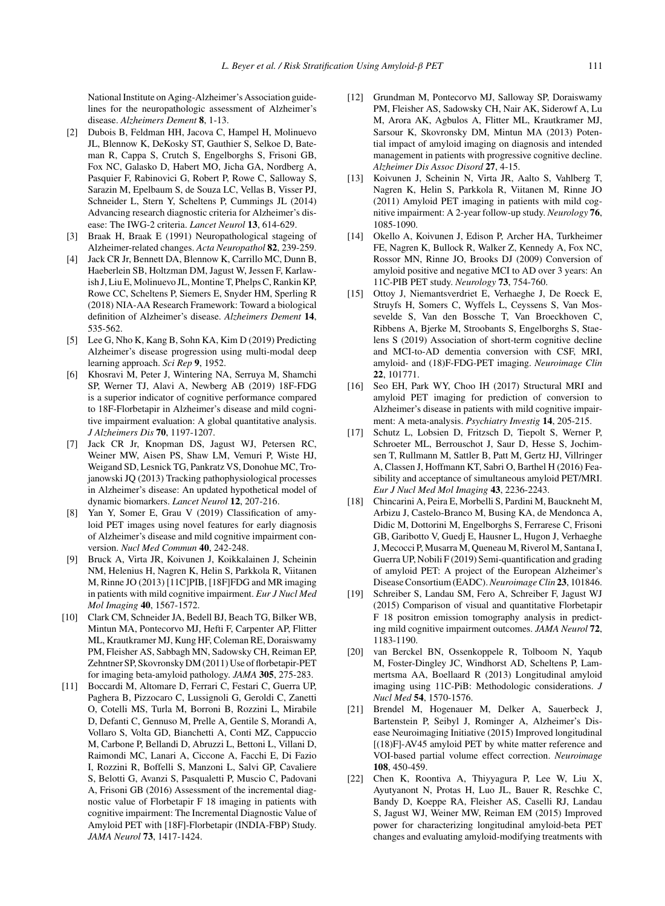National Institute on Aging-Alzheimer's Association guidelines for the neuropathologic assessment of Alzheimer's disease. *Alzheimers Dement* **8**, 1-13.

- [2] Dubois B, Feldman HH, Jacova C, Hampel H, Molinuevo JL, Blennow K, DeKosky ST, Gauthier S, Selkoe D, Bateman R, Cappa S, Crutch S, Engelborghs S, Frisoni GB, Fox NC, Galasko D, Habert MO, Jicha GA, Nordberg A, Pasquier F, Rabinovici G, Robert P, Rowe C, Salloway S, Sarazin M, Epelbaum S, de Souza LC, Vellas B, Visser PJ, Schneider L, Stern Y, Scheltens P, Cummings JL (2014) Advancing research diagnostic criteria for Alzheimer's disease: The IWG-2 criteria. *Lancet Neurol* **13**, 614-629.
- [3] Braak H, Braak E (1991) Neuropathological stageing of Alzheimer-related changes. *Acta Neuropathol* **82**, 239-259.
- [4] Jack CR Jr, Bennett DA, Blennow K, Carrillo MC, Dunn B, Haeberlein SB, Holtzman DM, Jagust W, Jessen F, Karlawish J, Liu E, Molinuevo JL, Montine T, Phelps C, Rankin KP, Rowe CC, Scheltens P, Siemers E, Snyder HM, Sperling R (2018) NIA-AA Research Framework: Toward a biological definition of Alzheimer's disease. *Alzheimers Dement* **14**, 535-562.
- [5] Lee G, Nho K, Kang B, Sohn KA, Kim D (2019) Predicting Alzheimer's disease progression using multi-modal deep learning approach. *Sci Rep* **9**, 1952.
- [6] Khosravi M, Peter J, Wintering NA, Serruya M, Shamchi SP, Werner TJ, Alavi A, Newberg AB (2019) 18F-FDG is a superior indicator of cognitive performance compared to 18F-Florbetapir in Alzheimer's disease and mild cognitive impairment evaluation: A global quantitative analysis. *J Alzheimers Dis* **70**, 1197-1207.
- [7] Jack CR Jr, Knopman DS, Jagust WJ, Petersen RC, Weiner MW, Aisen PS, Shaw LM, Vemuri P, Wiste HJ, Weigand SD, Lesnick TG, Pankratz VS, Donohue MC, Trojanowski JQ (2013) Tracking pathophysiological processes in Alzheimer's disease: An updated hypothetical model of dynamic biomarkers. *Lancet Neurol* **12**, 207-216.
- [8] Yan Y, Somer E, Grau V (2019) Classification of amyloid PET images using novel features for early diagnosis of Alzheimer's disease and mild cognitive impairment conversion. *Nucl Med Commun* **40**, 242-248.
- [9] Bruck A, Virta JR, Koivunen J, Koikkalainen J, Scheinin NM, Helenius H, Nagren K, Helin S, Parkkola R, Viitanen M, Rinne JO (2013) [11C]PIB, [18F]FDG and MR imaging in patients with mild cognitive impairment. *Eur J Nucl Med Mol Imaging* **40**, 1567-1572.
- [10] Clark CM, Schneider JA, Bedell BJ, Beach TG, Bilker WB, Mintun MA, Pontecorvo MJ, Hefti F, Carpenter AP, Flitter ML, Krautkramer MJ, Kung HF, Coleman RE, Doraiswamy PM, Fleisher AS, Sabbagh MN, Sadowsky CH, Reiman EP, Zehntner SP, Skovronsky DM (2011) Use of florbetapir-PET for imaging beta-amyloid pathology. *JAMA* **305**, 275-283.
- [11] Boccardi M, Altomare D, Ferrari C, Festari C, Guerra UP, Paghera B, Pizzocaro C, Lussignoli G, Geroldi C, Zanetti O, Cotelli MS, Turla M, Borroni B, Rozzini L, Mirabile D, Defanti C, Gennuso M, Prelle A, Gentile S, Morandi A, Vollaro S, Volta GD, Bianchetti A, Conti MZ, Cappuccio M, Carbone P, Bellandi D, Abruzzi L, Bettoni L, Villani D, Raimondi MC, Lanari A, Ciccone A, Facchi E, Di Fazio I, Rozzini R, Boffelli S, Manzoni L, Salvi GP, Cavaliere S, Belotti G, Avanzi S, Pasqualetti P, Muscio C, Padovani A, Frisoni GB (2016) Assessment of the incremental diagnostic value of Florbetapir F 18 imaging in patients with cognitive impairment: The Incremental Diagnostic Value of Amyloid PET with [18F]-Florbetapir (INDIA-FBP) Study. *JAMA Neurol* **73**, 1417-1424.
- [12] Grundman M, Pontecorvo MJ, Salloway SP, Doraiswamy PM, Fleisher AS, Sadowsky CH, Nair AK, Siderowf A, Lu M, Arora AK, Agbulos A, Flitter ML, Krautkramer MJ, Sarsour K, Skovronsky DM, Mintun MA (2013) Potential impact of amyloid imaging on diagnosis and intended management in patients with progressive cognitive decline. *Alzheimer Dis Assoc Disord* **27**, 4-15.
- [13] Koivunen J, Scheinin N, Virta JR, Aalto S, Vahlberg T, Nagren K, Helin S, Parkkola R, Viitanen M, Rinne JO (2011) Amyloid PET imaging in patients with mild cognitive impairment: A 2-year follow-up study. *Neurology* **76**, 1085-1090.
- [14] Okello A, Koivunen J, Edison P, Archer HA, Turkheimer FE, Nagren K, Bullock R, Walker Z, Kennedy A, Fox NC, Rossor MN, Rinne JO, Brooks DJ (2009) Conversion of amyloid positive and negative MCI to AD over 3 years: An 11C-PIB PET study. *Neurology* **73**, 754-760.
- [15] Ottoy J, Niemantsverdriet E, Verhaeghe J, De Roeck E, Struyfs H, Somers C, Wyffels L, Ceyssens S, Van Mossevelde S, Van den Bossche T, Van Broeckhoven C, Ribbens A, Bjerke M, Stroobants S, Engelborghs S, Staelens S (2019) Association of short-term cognitive decline and MCI-to-AD dementia conversion with CSF, MRI, amyloid- and (18)F-FDG-PET imaging. *Neuroimage Clin* **22**, 101771.
- [16] Seo EH, Park WY, Choo IH (2017) Structural MRI and amyloid PET imaging for prediction of conversion to Alzheimer's disease in patients with mild cognitive impairment: A meta-analysis. *Psychiatry Investig* **14**, 205-215.
- [17] Schutz L, Lobsien D, Fritzsch D, Tiepolt S, Werner P, Schroeter ML, Berrouschot J, Saur D, Hesse S, Jochimsen T, Rullmann M, Sattler B, Patt M, Gertz HJ, Villringer A, Classen J, Hoffmann KT, Sabri O, Barthel H (2016) Feasibility and acceptance of simultaneous amyloid PET/MRI. *Eur J Nucl Med Mol Imaging* **43**, 2236-2243.
- [18] Chincarini A, Peira E, Morbelli S, Pardini M, Bauckneht M, Arbizu J, Castelo-Branco M, Busing KA, de Mendonca A, Didic M, Dottorini M, Engelborghs S, Ferrarese C, Frisoni GB, Garibotto V, Guedj E, Hausner L, Hugon J, Verhaeghe J, Mecocci P, Musarra M, Queneau M, Riverol M, Santana I, Guerra UP, Nobili F (2019) Semi-quantification and grading of amyloid PET: A project of the European Alzheimer's Disease Consortium (EADC).*Neuroimage Clin* **23**, 101846.
- [19] Schreiber S, Landau SM, Fero A, Schreiber F, Jagust WJ (2015) Comparison of visual and quantitative Florbetapir F 18 positron emission tomography analysis in predicting mild cognitive impairment outcomes. *JAMA Neurol* **72**, 1183-1190.
- [20] van Berckel BN, Ossenkoppele R, Tolboom N, Yaqub M, Foster-Dingley JC, Windhorst AD, Scheltens P, Lammertsma AA, Boellaard R (2013) Longitudinal amyloid imaging using 11C-PiB: Methodologic considerations. *J Nucl Med* **54**, 1570-1576.
- [21] Brendel M, Hogenauer M, Delker A, Sauerbeck J, Bartenstein P, Seibyl J, Rominger A, Alzheimer's Disease Neuroimaging Initiative (2015) Improved longitudinal [(18)F]-AV45 amyloid PET by white matter reference and VOI-based partial volume effect correction. *Neuroimage* **108**, 450-459.
- [22] Chen K, Roontiva A, Thiyyagura P, Lee W, Liu X, Ayutyanont N, Protas H, Luo JL, Bauer R, Reschke C, Bandy D, Koeppe RA, Fleisher AS, Caselli RJ, Landau S, Jagust WJ, Weiner MW, Reiman EM (2015) Improved power for characterizing longitudinal amyloid-beta PET changes and evaluating amyloid-modifying treatments with